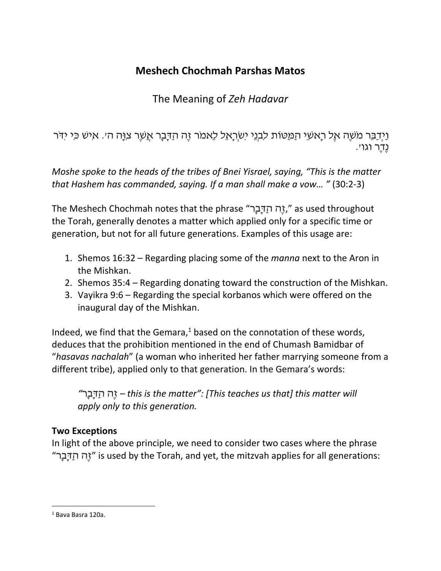# **Meshech Chochmah Parshas Matos**

# The Meaning of *Zeh Hadavar*

וַיְדַבֵּר מֹשֶׁה אֶל רָאשֵׁי הַמַּטּוֹת לִבְנֵי יִשְׂרָאֵל לֵאמֹר זֶה הַדָּבָר אֲשֶׁר צִוָּה ה'. אִישׁ כִּי יִדֹּר נֶדֶר וגו'.

*Moshe spoke to the heads of the tribes of Bnei Yisrael, saying, "This is the matter that Hashem has commanded, saying. If a man shall make a vow… "* (30:2-3)

The Meshech Chochmah notes that the phrase "רָבָדַּה הֶז, "as used throughout the Torah, generally denotes a matter which applied only for a specific time or generation, but not for all future generations. Examples of this usage are:

- 1. Shemos 16:32 Regarding placing some of the *manna* next to the Aron in the Mishkan.
- 2. Shemos 35:4 Regarding donating toward the construction of the Mishkan.
- 3. Vayikra 9:6 Regarding the special korbanos which were offered on the inaugural day of the Mishkan.

Indeed, we find that the Gemara, $1$  based on the connotation of these words, deduces that the prohibition mentioned in the end of Chumash Bamidbar of "*hasavas nachalah*" (a woman who inherited her father marrying someone from a different tribe), applied only to that generation. In the Gemara's words:

*"*רָבָדַּה הֶז *– this is the matter": [This teaches us that] this matter will apply only to this generation.*

## **Two Exceptions**

In light of the above principle, we need to consider two cases where the phrase "רָבָדַּה הֶז "is used by the Torah, and yet, the mitzvah applies for all generations:

<sup>1</sup> Bava Basra 120a.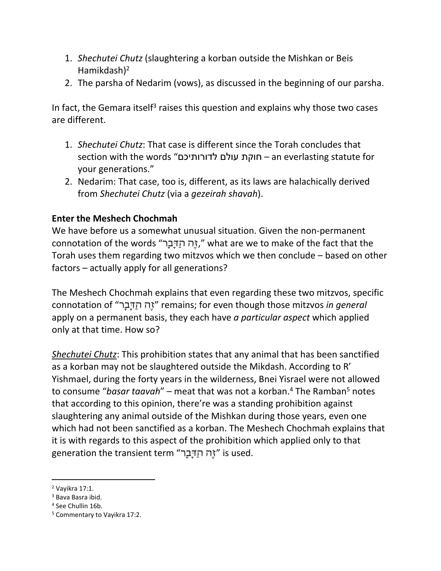- 1. *Shechutei Chutz* (slaughtering a korban outside the Mishkan or Beis Hamikdash)<sup>2</sup>
- 2. The parsha of Nedarim (vows), as discussed in the beginning of our parsha.

In fact, the Gemara itself<sup>3</sup> raises this question and explains why those two cases are different.

- 1. *Shechutei Chutz*: That case is different since the Torah concludes that section with the words "לדורותיכם עולם חוקת – an everlasting statute for your generations."
- 2. Nedarim: That case, too is, different, as its laws are halachically derived from *Shechutei Chutz* (via a *gezeirah shavah*).

## **Enter the Meshech Chochmah**

We have before us a somewhat unusual situation. Given the non-permanent connotation of the words "יָה הַדָּבָר, " what are we to make of the fact that the Torah uses them regarding two mitzvos which we then conclude – based on other factors – actually apply for all generations?

The Meshech Chochmah explains that even regarding these two mitzvos, specific connotation of "רָבָדַּה הֶז "remains; for even though those mitzvos *in general* apply on a permanent basis, they each have *a particular aspect* which applied only at that time. How so?

*Shechutei Chutz*: This prohibition states that any animal that has been sanctified as a korban may not be slaughtered outside the Mikdash. According to R' Yishmael, during the forty years in the wilderness, Bnei Yisrael were not allowed to consume "basar taavah" – meat that was not a korban.<sup>4</sup> The Ramban<sup>5</sup> notes that according to this opinion, there're was a standing prohibition against slaughtering any animal outside of the Mishkan during those years, even one which had not been sanctified as a korban. The Meshech Chochmah explains that it is with regards to this aspect of the prohibition which applied only to that generation the transient term "זֶה הַדָּבָר" is used.

<sup>2</sup> Vayikra 17:1.

<sup>3</sup> Bava Basra ibid.

<sup>4</sup> See Chullin 16b.

<sup>5</sup> Commentary to Vayikra 17:2.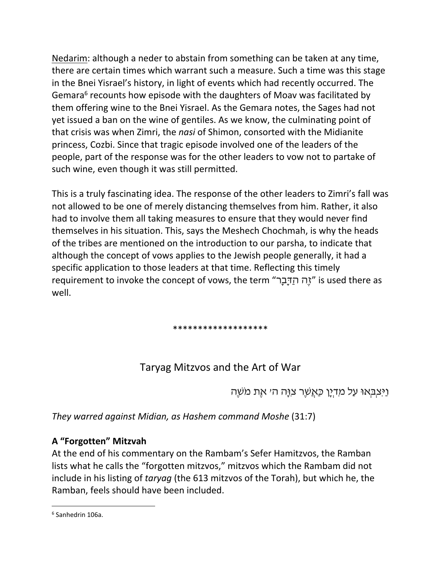Nedarim: although a neder to abstain from something can be taken at any time, there are certain times which warrant such a measure. Such a time was this stage in the Bnei Yisrael's history, in light of events which had recently occurred. The Gemara<sup>6</sup> recounts how episode with the daughters of Moav was facilitated by them offering wine to the Bnei Yisrael. As the Gemara notes, the Sages had not yet issued a ban on the wine of gentiles. As we know, the culminating point of that crisis was when Zimri, the *nasi* of Shimon, consorted with the Midianite princess, Cozbi. Since that tragic episode involved one of the leaders of the people, part of the response was for the other leaders to vow not to partake of such wine, even though it was still permitted.

This is a truly fascinating idea. The response of the other leaders to Zimri's fall was not allowed to be one of merely distancing themselves from him. Rather, it also had to involve them all taking measures to ensure that they would never find themselves in his situation. This, says the Meshech Chochmah, is why the heads of the tribes are mentioned on the introduction to our parsha, to indicate that although the concept of vows applies to the Jewish people generally, it had a specific application to those leaders at that time. Reflecting this timely requirement to invoke the concept of vows, the term "רָבָדַּה הֶז "is used there as well.

#### \*\*\*\*\*\*\*\*\*\*\*\*\*\*\*\*\*\*\*

## Taryag Mitzvos and the Art of War

וַיִּצְבְּאוּ עַל מִדְיָן כַּאֲשֶׁר צִוָּה ה' אֶת מֹשֶׁה

*They warred against Midian, as Hashem command Moshe* (31:7)

### **A "Forgotten" Mitzvah**

At the end of his commentary on the Rambam's Sefer Hamitzvos, the Ramban lists what he calls the "forgotten mitzvos," mitzvos which the Rambam did not include in his listing of *taryag* (the 613 mitzvos of the Torah), but which he, the Ramban, feels should have been included.

<sup>6</sup> Sanhedrin 106a.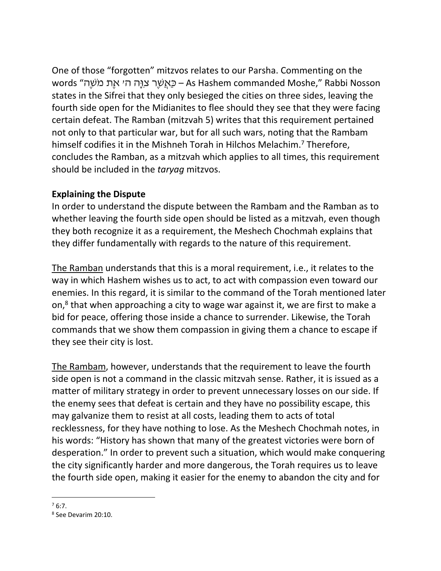One of those "forgotten" mitzvos relates to our Parsha. Commenting on the Nosson Rabbi" ,Moshe commanded Hashem As – כַּאֲשֶׁר צִוָּה ה' אֶת מֹשֶׁה" words states in the Sifrei that they only besieged the cities on three sides, leaving the fourth side open for the Midianites to flee should they see that they were facing certain defeat. The Ramban (mitzvah 5) writes that this requirement pertained not only to that particular war, but for all such wars, noting that the Rambam himself codifies it in the Mishneh Torah in Hilchos Melachim.<sup>7</sup> Therefore, concludes the Ramban, as a mitzvah which applies to all times, this requirement should be included in the *taryag* mitzvos.

### **Explaining the Dispute**

In order to understand the dispute between the Rambam and the Ramban as to whether leaving the fourth side open should be listed as a mitzvah, even though they both recognize it as a requirement, the Meshech Chochmah explains that they differ fundamentally with regards to the nature of this requirement.

The Ramban understands that this is a moral requirement, i.e., it relates to the way in which Hashem wishes us to act, to act with compassion even toward our enemies. In this regard, it is similar to the command of the Torah mentioned later on,<sup>8</sup> that when approaching a city to wage war against it, we are first to make a bid for peace, offering those inside a chance to surrender. Likewise, the Torah commands that we show them compassion in giving them a chance to escape if they see their city is lost.

The Rambam, however, understands that the requirement to leave the fourth side open is not a command in the classic mitzvah sense. Rather, it is issued as a matter of military strategy in order to prevent unnecessary losses on our side. If the enemy sees that defeat is certain and they have no possibility escape, this may galvanize them to resist at all costs, leading them to acts of total recklessness, for they have nothing to lose. As the Meshech Chochmah notes, in his words: "History has shown that many of the greatest victories were born of desperation." In order to prevent such a situation, which would make conquering the city significantly harder and more dangerous, the Torah requires us to leave the fourth side open, making it easier for the enemy to abandon the city and for

 $76:7.$ 

<sup>8</sup> See Devarim 20:10.